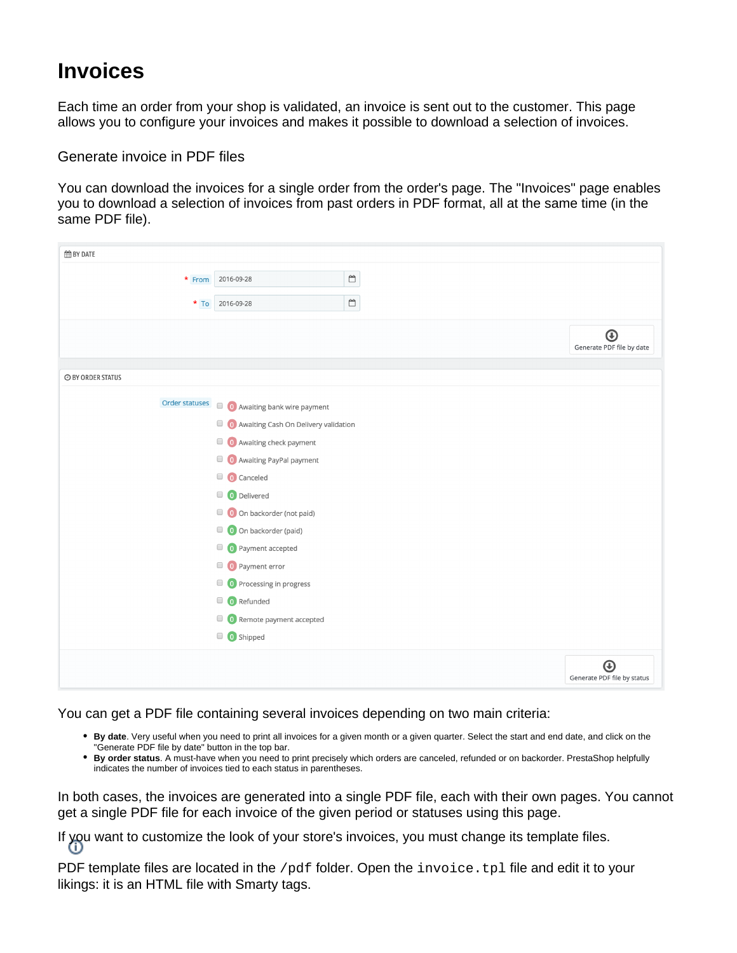## **Invoices**

Each time an order from your shop is validated, an invoice is sent out to the customer. This page allows you to configure your invoices and makes it possible to download a selection of invoices.

Generate invoice in PDF files

You can download the invoices for a single order from the order's page. The "Invoices" page enables you to download a selection of invoices from past orders in PDF format, all at the same time (in the same PDF file).

| <b>EE BY DATE</b>        |                                      |                                                        |                                  |
|--------------------------|--------------------------------------|--------------------------------------------------------|----------------------------------|
| * From                   | 2016-09-28                           | $\mathop{}_{\bigodot}^{\scriptscriptstyle\mathsf{mo}}$ |                                  |
|                          |                                      |                                                        |                                  |
| $*$ To                   | 2016-09-28                           | $\overline{\Box}$                                      |                                  |
|                          |                                      |                                                        | $\bigoplus$                      |
|                          |                                      |                                                        | Generate PDF file by date        |
|                          |                                      |                                                        |                                  |
| <b>O BY ORDER STATUS</b> |                                      |                                                        |                                  |
| Order statuses           | O Awaiting bank wire payment         |                                                        |                                  |
|                          | Awaiting Cash On Delivery validation |                                                        |                                  |
|                          | <b>O</b> Awaiting check payment      |                                                        |                                  |
|                          | <b>O</b> Awaiting PayPal payment     |                                                        |                                  |
|                          | O Canceled                           |                                                        |                                  |
|                          |                                      |                                                        |                                  |
|                          | O Delivered                          |                                                        |                                  |
|                          | O On backorder (not paid)            |                                                        |                                  |
|                          | O On backorder (paid)                |                                                        |                                  |
|                          | O Payment accepted                   |                                                        |                                  |
|                          | $\Box$ ( ) Payment error             |                                                        |                                  |
|                          | O Processing in progress             |                                                        |                                  |
|                          | $\Box$ <b>O</b> Refunded             |                                                        |                                  |
|                          | Remote payment accepted              |                                                        |                                  |
|                          | O Shipped                            |                                                        |                                  |
|                          |                                      |                                                        |                                  |
|                          |                                      |                                                        | ⊕<br>Generate PDF file by status |
|                          |                                      |                                                        |                                  |

You can get a PDF file containing several invoices depending on two main criteria:

- **By date**. Very useful when you need to print all invoices for a given month or a given quarter. Select the start and end date, and click on the "Generate PDF file by date" button in the top bar.
- **By order status**. A must-have when you need to print precisely which orders are canceled, refunded or on backorder. PrestaShop helpfully indicates the number of invoices tied to each status in parentheses.

In both cases, the invoices are generated into a single PDF file, each with their own pages. You cannot get a single PDF file for each invoice of the given period or statuses using this page.

If you want to customize the look of your store's invoices, you must change its template files.

PDF template files are located in the /pdf folder. Open the invoice.tpl file and edit it to your likings: it is an HTML file with Smarty tags.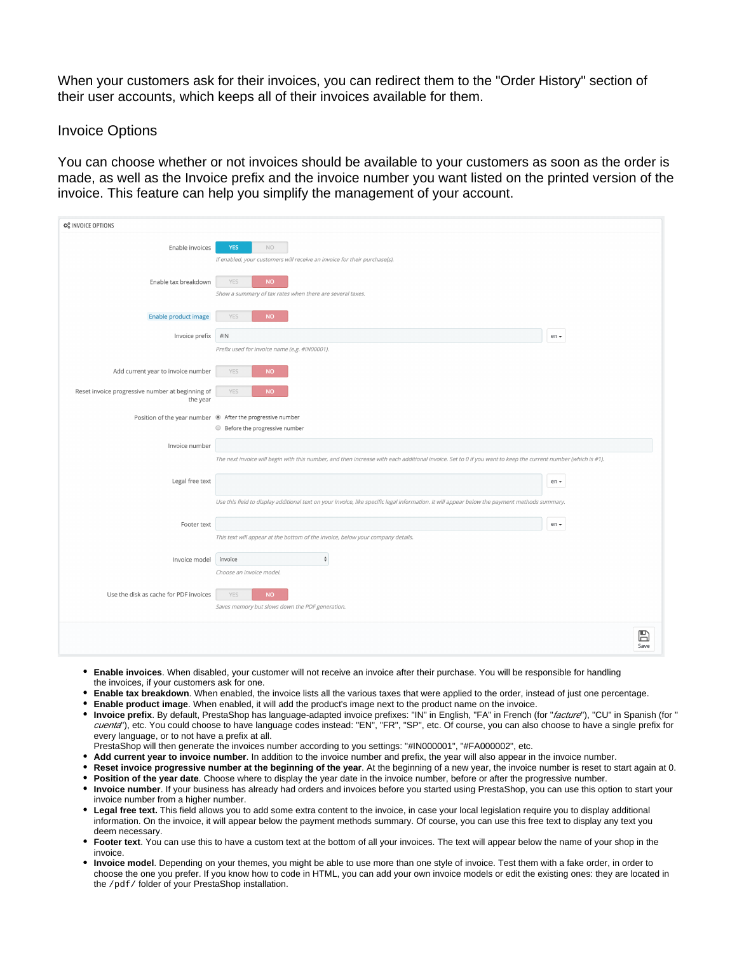When your customers ask for their invoices, you can redirect them to the "Order History" section of their user accounts, which keeps all of their invoices available for them.

## Invoice Options

You can choose whether or not invoices should be available to your customers as soon as the order is made, as well as the Invoice prefix and the invoice number you want listed on the printed version of the invoice. This feature can help you simplify the management of your account.

| <b>CC</b> INVOICE OPTIONS                                    |                                                                                                                                                              |                      |  |  |
|--------------------------------------------------------------|--------------------------------------------------------------------------------------------------------------------------------------------------------------|----------------------|--|--|
| Enable invoices                                              | <b>YES</b><br>NO.<br>If enabled, your customers will receive an invoice for their purchase(s).                                                               |                      |  |  |
| Enable tax breakdown                                         | <b>NO</b><br><b>YES</b><br>Show a summary of tax rates when there are several taxes.                                                                         |                      |  |  |
| Enable product image                                         | <b>NO</b><br><b>YES</b>                                                                                                                                      |                      |  |  |
| Invoice prefix                                               | $\# \mathsf{IN}$<br>Prefix used for invoice name (e.g. #IN00001).                                                                                            | en $\star$           |  |  |
| Add current year to invoice number                           | <b>YES</b><br><b>NO</b>                                                                                                                                      |                      |  |  |
| Reset invoice progressive number at beginning of<br>the year | YES<br><b>NO</b>                                                                                                                                             |                      |  |  |
|                                                              | Position of the year number @ After the progressive number<br>Before the progressive number                                                                  |                      |  |  |
| Invoice number                                               | The next invoice will begin with this number, and then increase with each additional invoice. Set to 0 if you want to keep the current number (which is #1). |                      |  |  |
| Legal free text                                              |                                                                                                                                                              | en -                 |  |  |
|                                                              | Use this field to display additional text on your invoice, like specific legal information. It will appear below the payment methods summary.                |                      |  |  |
| Footer text                                                  | This text will appear at the bottom of the invoice, below your company details.                                                                              | en $\star$           |  |  |
| Invoice model                                                | $\frac{4}{7}$<br>invoice                                                                                                                                     |                      |  |  |
| Use the disk as cache for PDF invoices                       | Choose an invoice model.<br><b>NO</b><br>YES<br>Saves memory but slows down the PDF generation.                                                              |                      |  |  |
|                                                              |                                                                                                                                                              | $\mathbb{B}$<br>Save |  |  |

- **Enable invoices**. When disabled, your customer will not receive an invoice after their purchase. You will be responsible for handling the invoices, if your customers ask for one.
- **Enable tax breakdown**. When enabled, the invoice lists all the various taxes that were applied to the order, instead of just one percentage.
- **Enable product image**. When enabled, it will add the product's image next to the product name on the invoice.
- **Invoice prefix**. By default, PrestaShop has language-adapted invoice prefixes: "IN" in English, "FA" in French (for "facture"), "CU" in Spanish (for " cuenta"), etc. You could choose to have language codes instead: "EN", "FR", "SP", etc. Of course, you can also choose to have a single prefix for every language, or to not have a prefix at all.
- PrestaShop will then generate the invoices number according to you settings: "#IN000001", "#FA000002", etc.
- **Add current year to invoice number**. In addition to the invoice number and prefix, the year will also appear in the invoice number.
- **Reset invoice progressive number at the beginning of the year**. At the beginning of a new year, the invoice number is reset to start again at 0. **Position of the year date**. Choose where to display the year date in the invoice number, before or after the progressive number.
- **Invoice number**. If your business has already had orders and invoices before you started using PrestaShop, you can use this option to start your invoice number from a higher number.
- **Legal free text.** This field allows you to add some extra content to the invoice, in case your local legislation require you to display additional information. On the invoice, it will appear below the payment methods summary. Of course, you can use this free text to display any text you deem necessary.
- **Footer text**. You can use this to have a custom text at the bottom of all your invoices. The text will appear below the name of your shop in the invoice.
- **Invoice model**. Depending on your themes, you might be able to use more than one style of invoice. Test them with a fake order, in order to choose the one you prefer. If you know how to code in HTML, you can add your own invoice models or edit the existing ones: they are located in the /pdf/ folder of your PrestaShop installation.